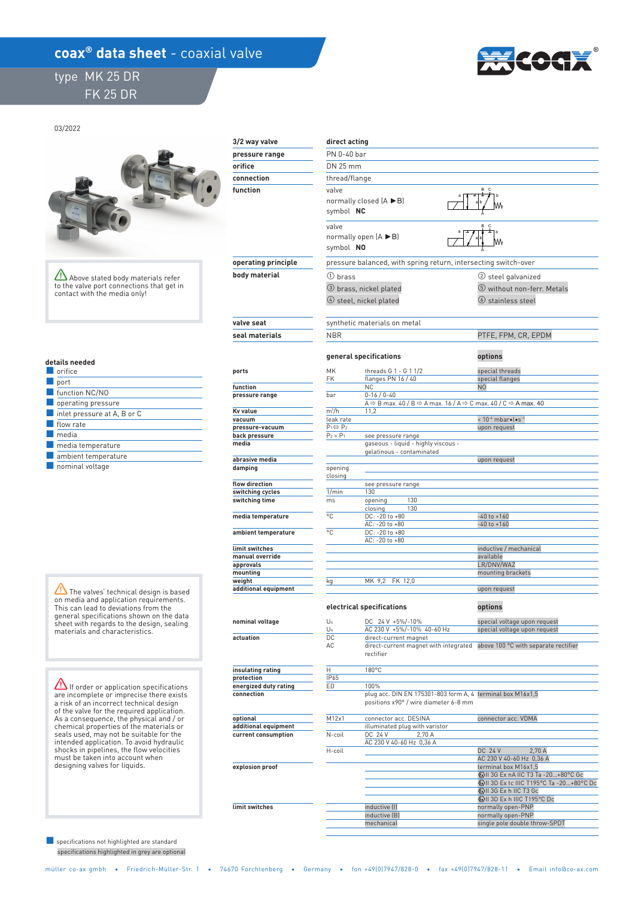## **coax<sup>®</sup> data sheet** - coaxial valve

## type MK 25 DR FK 25 DR



03/2022



 **explosion proof** 

 **limit switches** 

Above stated body materials refer to the valve port connections that get in contact with the media only!

| details needed |
|----------------|
|                |

| orifice                                         |
|-------------------------------------------------|
| port                                            |
| function NC/NO                                  |
| operating pressure                              |
| $\blacksquare$ inlet pressure at A, B or C      |
| flow rate                                       |
| media                                           |
| media temperature                               |
| ambient temperature                             |
| the contract of the contract of the contract of |

■ nominal voltage

 $\sqrt{N}$  The valves' technical design is based on media and application requirements. This can lead to deviations from the general specifications shown on the data sheet with regards to the design, sealing materials and characteristics.

If order or application specifications are incomplete or imprecise there exists a risk of an incorrect technical design of the valve for the required application. As a consequence, the physical and / or chemical properties of the materials or seals used, may not be suitable for the intended application. To avoid hydraulic shocks in pipelines, the flow velocities must be taken into account when designing valves for liquids.

 specifications highlighted in grey are optional ■ specifications not highlighted are standard

| 3/2 way valve              | direct acting                            |                                                                                                                               |                                                              |  |  |  |
|----------------------------|------------------------------------------|-------------------------------------------------------------------------------------------------------------------------------|--------------------------------------------------------------|--|--|--|
| pressure range             | PN 0-40 bar                              |                                                                                                                               |                                                              |  |  |  |
| orifice                    |                                          |                                                                                                                               |                                                              |  |  |  |
| connection                 |                                          | DN 25 mm                                                                                                                      |                                                              |  |  |  |
|                            | thread/flange                            |                                                                                                                               |                                                              |  |  |  |
| function                   |                                          | B C<br>valve<br>normally closed $(A \triangleright B)$<br>symbol NC                                                           |                                                              |  |  |  |
|                            | valve<br>symbol NO                       | normally open $(A \triangleright B)$                                                                                          | B.<br>- C                                                    |  |  |  |
| operating principle        |                                          | pressure balanced, with spring return, intersecting switch-over                                                               |                                                              |  |  |  |
| body material              | $\Omega$ brass                           |                                                                                                                               | (2) steel galvanized                                         |  |  |  |
|                            |                                          | 3 brass, nickel plated                                                                                                        | 5 without non-ferr. Metals                                   |  |  |  |
|                            |                                          | 4 steel, nickel plated                                                                                                        | <b>(6)</b> stainless steel                                   |  |  |  |
| valve seat                 |                                          | synthetic materials on metal                                                                                                  |                                                              |  |  |  |
| seal materials             | <b>NBR</b>                               |                                                                                                                               | PTFE, FPM, CR, EPDM                                          |  |  |  |
|                            |                                          | general specifications                                                                                                        | options                                                      |  |  |  |
| ports                      | MK<br><b>FK</b>                          | threads G 1 - G 1 1/2<br>flanges PN 16 / 40                                                                                   | special threads<br>special flanges                           |  |  |  |
| function<br>pressure range | bar                                      | <b>NC</b><br>$0 - 16 / 0 - 40$                                                                                                | N <sub>O</sub>                                               |  |  |  |
|                            |                                          | A $\Leftrightarrow$ B max. 40 / B $\Leftrightarrow$ A max. 16 / A $\Leftrightarrow$ C max. 40 / C $\Leftrightarrow$ A max. 40 |                                                              |  |  |  |
| Kv value                   | $m^3/h$                                  | 11,2                                                                                                                          |                                                              |  |  |  |
| vacuum                     | leak rate                                |                                                                                                                               | < 10 <sup>-6</sup> mbar•l•s <sup>-1</sup>                    |  |  |  |
| pressure-vacuum            | $P_1 \Leftrightarrow P_2$<br>$P_2 > P_1$ |                                                                                                                               | upon request                                                 |  |  |  |
| back pressure<br>media     |                                          | see pressure range<br>gaseous - liquid - highly viscous -<br>gelatinous - contaminated                                        |                                                              |  |  |  |
| abrasive media             |                                          |                                                                                                                               | upon request                                                 |  |  |  |
| damping                    | opening<br>closing                       |                                                                                                                               |                                                              |  |  |  |
| flow direction             |                                          | see pressure range                                                                                                            |                                                              |  |  |  |
| switching cycles           | 1/min                                    | 130                                                                                                                           |                                                              |  |  |  |
| switching time             | ms                                       | 130<br>opening<br>closing<br>130                                                                                              |                                                              |  |  |  |
| media temperature          | °C                                       | DC: -20 to +80<br>AC: -20 to +80                                                                                              | $-40$ to $+160$<br>$-40$ to $+160$                           |  |  |  |
| ambient temperature        | °C                                       | DC: -20 to +80<br>AC: -20 to +80                                                                                              |                                                              |  |  |  |
| limit switches             |                                          |                                                                                                                               | inductive / mechanical                                       |  |  |  |
| manual override            |                                          |                                                                                                                               | available                                                    |  |  |  |
| approvals                  |                                          |                                                                                                                               | LR/DNV/WAZ                                                   |  |  |  |
| mounting<br>weight         |                                          | MK 9,2 FK 12,0                                                                                                                | mounting brackets                                            |  |  |  |
| additional equipment       | kg                                       |                                                                                                                               | upon request                                                 |  |  |  |
|                            |                                          | electrical specifications                                                                                                     | options                                                      |  |  |  |
| nominal voltage            | $U_n$<br>Un                              | DC 24 V +5%/-10%<br>AC 230 V +5%/-10% 40-60 Hz                                                                                | special voltage upon request<br>special voltage upon request |  |  |  |
| actuation                  | DC.                                      | direct-current magnet                                                                                                         |                                                              |  |  |  |
|                            | АC                                       | direct-current magnet with integrated above 100 °C with separate rectifier<br>rectifier                                       |                                                              |  |  |  |
| insulating rating          | H                                        | $180^{\circ}$ C                                                                                                               |                                                              |  |  |  |
| protection                 | IP65                                     |                                                                                                                               |                                                              |  |  |  |
| energized duty rating      | ED                                       | 100%                                                                                                                          |                                                              |  |  |  |
| connection                 |                                          | plug acc. DIN EN 175301-803 form A, 4 terminal box M16x1,5<br>positions x90° / wire diameter 6-8 mm                           |                                                              |  |  |  |
| optional                   | M12x1                                    | connector acc. DESINA                                                                                                         | connector acc. VDMA                                          |  |  |  |
| additional equipment       |                                          | illuminated plug with varistor                                                                                                |                                                              |  |  |  |
| current consumption        | N-coil                                   | DC 24 V<br>2,70 A                                                                                                             |                                                              |  |  |  |

| illuminated blud with varistor |                                           |  |  |
|--------------------------------|-------------------------------------------|--|--|
| DC 24 V<br>2.70 A              |                                           |  |  |
| AC 230 V 40-60 Hz 0.36 A       |                                           |  |  |
|                                | 2.70A<br><b>DC 24 V</b>                   |  |  |
|                                | AC 230 V 40-60 Hz 0,36 A                  |  |  |
|                                | terminal box M16x1,5                      |  |  |
|                                | ۞ II 3G Ex nA IIC T3 Ta -20+80°C Gc       |  |  |
|                                | 49 II 3D Ex tc IIIC T195°C Ta -20+80°C Dc |  |  |
|                                | (x) II 3G Ex h IIC T3 Gc                  |  |  |
|                                | EVII 3D Ex h IIIC T195°C Dc               |  |  |
| inductive [I]                  | normally open-PNP                         |  |  |
| inductive (B)                  | normally open-PNP                         |  |  |
| mechanical                     | single pole double throw-SPDT             |  |  |
|                                |                                           |  |  |